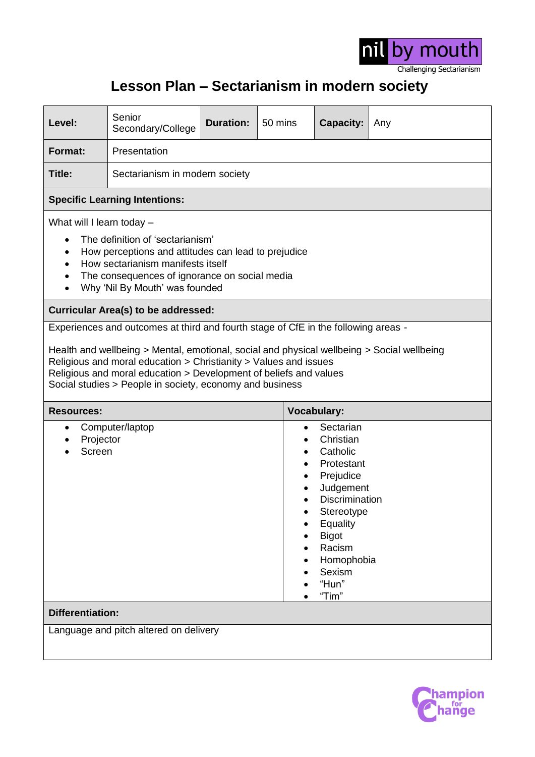

## **Lesson Plan – Sectarianism in modern society**

| Level:                                                                                                                                                                                                                                                                                          | Senior<br>Secondary/College    | <b>Duration:</b> | 50 mins                                                                                                                                                                                    | <b>Capacity:</b>   | Any |  |
|-------------------------------------------------------------------------------------------------------------------------------------------------------------------------------------------------------------------------------------------------------------------------------------------------|--------------------------------|------------------|--------------------------------------------------------------------------------------------------------------------------------------------------------------------------------------------|--------------------|-----|--|
| <b>Format:</b>                                                                                                                                                                                                                                                                                  | Presentation                   |                  |                                                                                                                                                                                            |                    |     |  |
| Title:                                                                                                                                                                                                                                                                                          | Sectarianism in modern society |                  |                                                                                                                                                                                            |                    |     |  |
| <b>Specific Learning Intentions:</b>                                                                                                                                                                                                                                                            |                                |                  |                                                                                                                                                                                            |                    |     |  |
| What will I learn today -<br>The definition of 'sectarianism'<br>How perceptions and attitudes can lead to prejudice<br>$\bullet$<br>How sectarianism manifests itself<br>The consequences of ignorance on social media<br>Why 'Nil By Mouth' was founded                                       |                                |                  |                                                                                                                                                                                            |                    |     |  |
| <b>Curricular Area(s) to be addressed:</b><br>Experiences and outcomes at third and fourth stage of CfE in the following areas -                                                                                                                                                                |                                |                  |                                                                                                                                                                                            |                    |     |  |
| Health and wellbeing > Mental, emotional, social and physical wellbeing > Social wellbeing<br>Religious and moral education > Christianity > Values and issues<br>Religious and moral education > Development of beliefs and values<br>Social studies > People in society, economy and business |                                |                  |                                                                                                                                                                                            |                    |     |  |
| <b>Resources:</b>                                                                                                                                                                                                                                                                               |                                |                  |                                                                                                                                                                                            | <b>Vocabulary:</b> |     |  |
| Computer/laptop<br>$\bullet$<br>Projector<br>Screen                                                                                                                                                                                                                                             |                                |                  | Sectarian<br>Christian<br>Catholic<br>Protestant<br>Prejudice<br>Judgement<br>Discrimination<br>Stereotype<br>Equality<br><b>Bigot</b><br>Racism<br>Homophobia<br>Sexism<br>"Hun"<br>"Tim" |                    |     |  |
| <b>Differentiation:</b>                                                                                                                                                                                                                                                                         |                                |                  |                                                                                                                                                                                            |                    |     |  |

Language and pitch altered on delivery